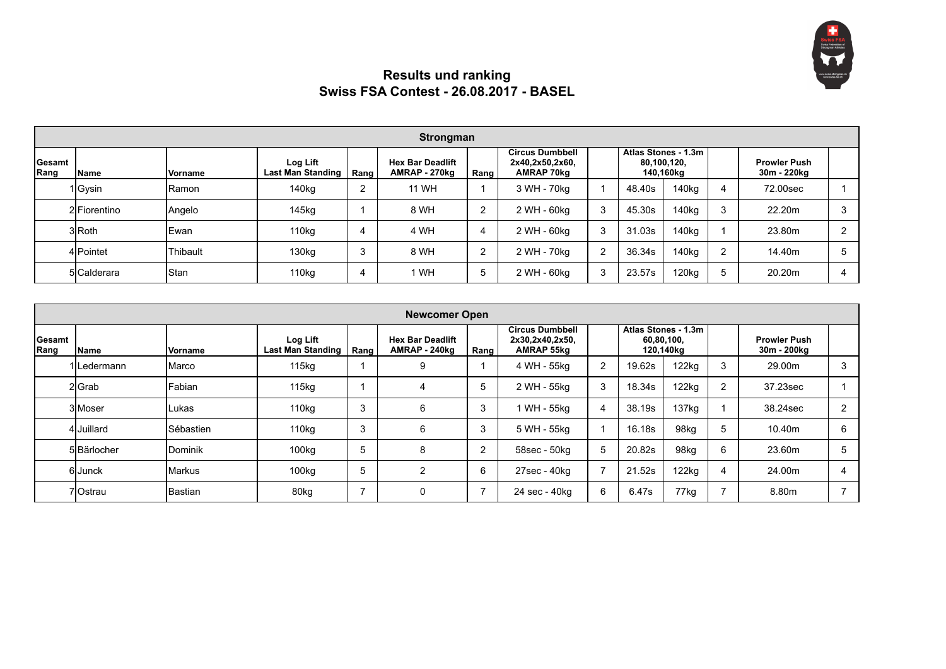

## **Results und ranking Swiss FSA Contest - 26.08.2017 - BASEL**

|                 | Strongman    |                |                                      |      |                                          |      |                                                         |            |                                                 |                   |                |                                    |  |
|-----------------|--------------|----------------|--------------------------------------|------|------------------------------------------|------|---------------------------------------------------------|------------|-------------------------------------------------|-------------------|----------------|------------------------------------|--|
| Gesamt<br> Rang | Name         | <b>Vorname</b> | Log Lift<br><b>Last Man Standing</b> | Rang | <b>Hex Bar Deadlift</b><br>AMRAP - 270kg | Rang | <b>Circus Dumbbell</b><br>2x40,2x50,2x60,<br>AMRAP 70kg |            | Atlas Stones - 1.3m<br>80.100.120.<br>140,160kg |                   |                | <b>Prowler Push</b><br>30m - 220kg |  |
|                 | 1Gysin       | IRamon         | 140 <sub>kg</sub>                    | ົ    | <b>11 WH</b>                             |      | 3 WH - 70kg                                             |            | 48.40s                                          | 140 <sub>kg</sub> | 4              | 72.00sec                           |  |
|                 | 2 Fiorentino | Angelo         | 145kg                                |      | 8 WH                                     | າ    | 2 WH - 60kg                                             | $\sim$     | 45.30s                                          | 140 <sub>kg</sub> | 3              | 22.20m                             |  |
|                 | 3 Roth       | <b>IEwan</b>   | 110 <sub>kg</sub>                    |      | 4 WH                                     | 4    | 2 WH - 60kg                                             | 3          | 31.03s                                          | 140 <sub>kg</sub> |                | 23.80m                             |  |
|                 | 4 Pointet    | Thibault       | 130 <sub>kg</sub>                    |      | 8 WH                                     | າ    | 2 WH - 70kg                                             | $\sqrt{2}$ | 36.34s                                          | 140kg             | $\mathfrak{p}$ | 14.40m                             |  |
|                 | 5 Calderara  | <b>S</b> tan   | 110kg                                |      | ' WH                                     | 5    | 2 WH - 60kg                                             | ີ          | 23.57s                                          | 120kg             | 5              | 20.20m                             |  |

|                | <b>Newcomer Open</b> |                 |                                      |      |                                          |                |                                                         |                |            |                                  |                |                                    |                |
|----------------|----------------------|-----------------|--------------------------------------|------|------------------------------------------|----------------|---------------------------------------------------------|----------------|------------|----------------------------------|----------------|------------------------------------|----------------|
| Gesamt<br>Rang | l Name               | lVorname        | Log Lift<br><b>Last Man Standing</b> | Rang | <b>Hex Bar Deadlift</b><br>AMRAP - 240kg | Rang           | <b>Circus Dumbbell</b><br>2x30,2x40,2x50,<br>AMRAP 55kg |                | 60,80,100, | Atlas Stones - 1.3m<br>120,140kg |                | <b>Prowler Push</b><br>30m - 200kg |                |
|                | 1lLedermann          | Marco           | 115kg                                |      |                                          |                | 4 WH - 55kg                                             | $\overline{2}$ | 19.62s     | 122kg                            | 3              | 29.00m                             | 3              |
|                | 2 Grab               | <b>IFabian</b>  | 115kg                                |      | 4                                        | 5              | 2 WH - 55kg                                             | 3              | 18.34s     | 122kg                            | $\overline{2}$ | 37.23sec                           |                |
|                | 3 Moser              | <b>Lukas</b>    | 110kg                                | 3    | 6                                        | 3              | 1 WH - 55kg                                             | $\overline{4}$ | 38.19s     | 137 <sub>kg</sub>                |                | 38.24sec                           | $\overline{2}$ |
|                | 4 Juillard           | Sébastien       | 110kg                                | 3    | 6                                        | 3              | 5 WH - 55kg                                             |                | 16.18s     | 98kg                             | 5              | 10.40m                             | 6              |
|                | 5 Bärlocher          | <b>IDominik</b> | 100 <sub>kq</sub>                    | 5    | 8                                        | $\overline{2}$ | 58sec - 50kg                                            | 5              | 20.82s     | 98kg                             | 6              | 23.60m                             | 5              |
|                | 6lJunck              | <b>IMarkus</b>  | 100kg                                | 5    | ົ                                        | 6              | 27sec - 40kg                                            |                | 21.52s     | 122kg                            | 4              | 24.00m                             | 4              |
|                | 7lOstrau             | Bastian         | 80kg                                 | -    | O                                        |                | 24 sec - 40kg                                           | 6              | 6.47s      | 77kg                             | 7              | 8.80m                              |                |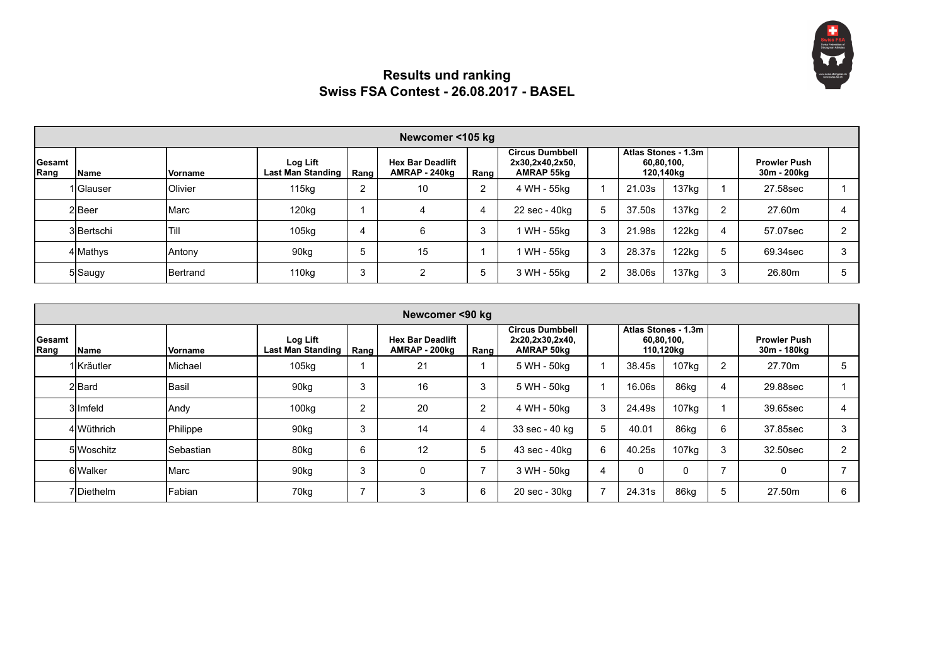

## **Results und ranking Swiss FSA Contest - 26.08.2017 - BASEL**

|                 | Newcomer <105 kg |                  |                                      |      |                                          |              |                                                         |  |            |                                  |                |                                    |  |
|-----------------|------------------|------------------|--------------------------------------|------|------------------------------------------|--------------|---------------------------------------------------------|--|------------|----------------------------------|----------------|------------------------------------|--|
| Gesamt<br> Rang | Name             | <b>Vorname</b>   | Log Lift<br><b>Last Man Standing</b> | Rang | <b>Hex Bar Deadlift</b><br>AMRAP - 240kg | Rang         | <b>Circus Dumbbell</b><br>2x30,2x40,2x50,<br>AMRAP 55kg |  | 60.80.100. | Atlas Stones - 1.3m<br>120,140kg |                | <b>Prowler Push</b><br>30m - 200kg |  |
|                 | 1 Glauser        | Olivier          | 115kg                                | ີ    | 10                                       | າ            | 4 WH - 55kg                                             |  | 21.03s     | 137 <sub>kq</sub>                |                | 27.58sec                           |  |
|                 | 2Beer            | Marc             | 120 <sub>kg</sub>                    |      |                                          | 4            | 22 sec - 40kg                                           |  | 37.50s     | 137 <sub>kg</sub>                | $\overline{2}$ | 27.60m                             |  |
|                 | 3 Bertschi       | Til              | 105kg                                |      | 6                                        | 3            | 1 WH - 55kg                                             |  | 21.98s     | 122kg                            |                | 57.07sec                           |  |
|                 | 4 Mathys         | Antony           | 90 <sub>kg</sub>                     |      | 15                                       |              | 1 WH - 55kg                                             |  | 28.37s     | 122kg                            |                | 69.34sec                           |  |
|                 | 5 Saugy          | <b>IBertrand</b> | 110kg                                |      | າ                                        | <sub>5</sub> | 3 WH - 55kg                                             |  | 38.06s     | 137kg                            | 3              | 26.80m                             |  |

|                       | Newcomer <90 kg |                   |                                      |      |                                          |                |                                                                |   |            |                                  |                |                                    |   |  |
|-----------------------|-----------------|-------------------|--------------------------------------|------|------------------------------------------|----------------|----------------------------------------------------------------|---|------------|----------------------------------|----------------|------------------------------------|---|--|
| <b>Gesamt</b><br>Rang | lName           | Vorname           | Log Lift<br><b>Last Man Standing</b> | Rang | <b>Hex Bar Deadlift</b><br>AMRAP - 200kg | Rang           | <b>Circus Dumbbell</b><br>2x20,2x30,2x40,<br><b>AMRAP 50kg</b> |   | 60,80,100, | Atlas Stones - 1.3m<br>110,120kg |                | <b>Prowler Push</b><br>30m - 180kg |   |  |
|                       | 1 Kräutler      | Michael           | 105kg                                |      | 21                                       |                | 5 WH - 50kg                                                    |   | 38.45s     | 107kg                            | $\overline{2}$ | 27.70m                             | 5 |  |
|                       | 2 Bard          | Basil             | 90kg                                 | 3    | 16                                       | 3              | 5 WH - 50kg                                                    |   | 16.06s     | 86kg                             | 4              | 29.88sec                           |   |  |
|                       | 3llmfeld        | Andy              | 100kg                                | 2    | 20                                       | $\overline{2}$ | 4 WH - 50kg                                                    | 3 | 24.49s     | 107kg                            |                | 39.65sec                           | 4 |  |
|                       | 4 Wüthrich      | Philippe          | 90kg                                 | 3    | 14                                       | 4              | 33 sec - 40 kg                                                 | 5 | 40.01      | 86kg                             | 6              | 37.85sec                           | 3 |  |
|                       | 5 Woschitz      | <b>ISebastian</b> | 80kg                                 | 6    | 12                                       | 5              | 43 sec - 40kg                                                  | 6 | 40.25s     | 107kg                            | 3              | 32.50sec                           | 2 |  |
|                       | 6 Walker        | Marc              | 90kg                                 | 3    | 0                                        |                | 3 WH - 50kg                                                    | 4 |            |                                  | 7              | 0                                  |   |  |
|                       | 7Diethelm       | Fabian            | 70kg                                 | ⇁    | 3                                        | 6              | 20 sec - 30kg                                                  |   | 24.31s     | 86kg                             | 5              | 27.50m                             | 6 |  |